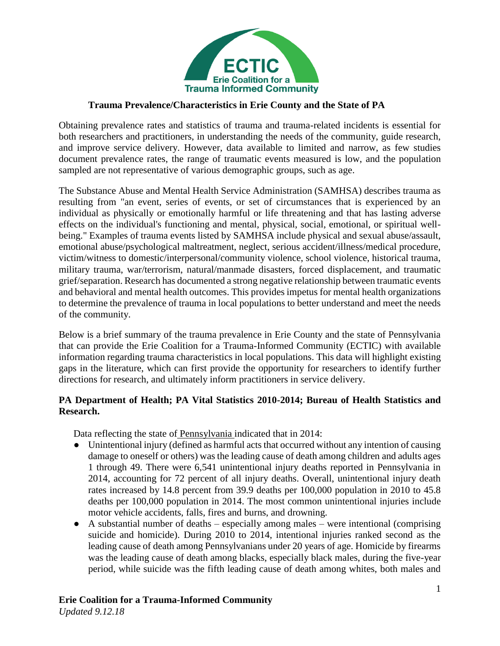

### **Trauma Prevalence/Characteristics in Erie County and the State of PA**

Obtaining prevalence rates and statistics of trauma and trauma-related incidents is essential for both researchers and practitioners, in understanding the needs of the community, guide research, and improve service delivery. However, data available to limited and narrow, as few studies document prevalence rates, the range of traumatic events measured is low, and the population sampled are not representative of various demographic groups, such as age.

The Substance Abuse and Mental Health Service Administration (SAMHSA) describes trauma as resulting from "an event, series of events, or set of circumstances that is experienced by an individual as physically or emotionally harmful or life threatening and that has lasting adverse effects on the individual's functioning and mental, physical, social, emotional, or spiritual wellbeing." Examples of trauma events listed by SAMHSA include physical and sexual abuse/assault, emotional abuse/psychological maltreatment, neglect, serious accident/illness/medical procedure, victim/witness to domestic/interpersonal/community violence, school violence, historical trauma, military trauma, war/terrorism, natural/manmade disasters, forced displacement, and traumatic grief/separation. Research has documented a strong negative relationship between traumatic events and behavioral and mental health outcomes. This provides impetus for mental health organizations to determine the prevalence of trauma in local populations to better understand and meet the needs of the community.

Below is a brief summary of the trauma prevalence in Erie County and the state of Pennsylvania that can provide the Erie Coalition for a Trauma-Informed Community (ECTIC) with available information regarding trauma characteristics in local populations. This data will highlight existing gaps in the literature, which can first provide the opportunity for researchers to identify further directions for research, and ultimately inform practitioners in service delivery.

## **PA Department of Health; PA Vital Statistics 2010-2014; Bureau of Health Statistics and Research.**

Data reflecting the state of Pennsylvania indicated that in 2014:

- Unintentional injury (defined as harmful acts that occurred without any intention of causing damage to oneself or others) was the leading cause of death among children and adults ages 1 through 49. There were 6,541 unintentional injury deaths reported in Pennsylvania in 2014, accounting for 72 percent of all injury deaths. Overall, unintentional injury death rates increased by 14.8 percent from 39.9 deaths per 100,000 population in 2010 to 45.8 deaths per 100,000 population in 2014. The most common unintentional injuries include motor vehicle accidents, falls, fires and burns, and drowning.
- A substantial number of deaths especially among males were intentional (comprising suicide and homicide). During 2010 to 2014, intentional injuries ranked second as the leading cause of death among Pennsylvanians under 20 years of age. Homicide by firearms was the leading cause of death among blacks, especially black males, during the five-year period, while suicide was the fifth leading cause of death among whites, both males and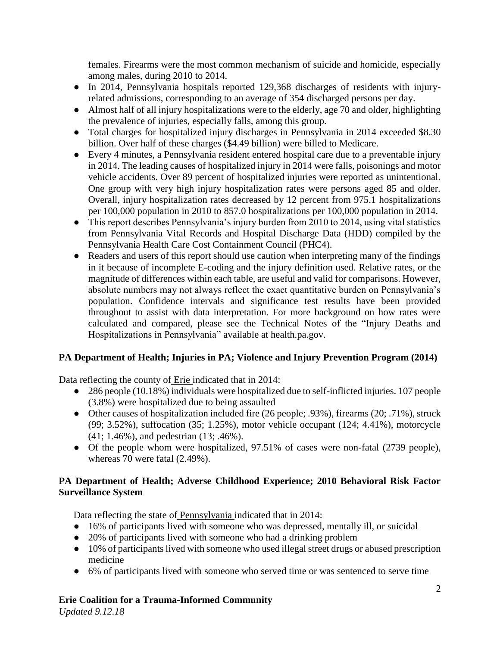females. Firearms were the most common mechanism of suicide and homicide, especially among males, during 2010 to 2014.

- In 2014, Pennsylvania hospitals reported 129,368 discharges of residents with injuryrelated admissions, corresponding to an average of 354 discharged persons per day.
- Almost half of all injury hospitalizations were to the elderly, age 70 and older, highlighting the prevalence of injuries, especially falls, among this group.
- Total charges for hospitalized injury discharges in Pennsylvania in 2014 exceeded \$8.30 billion. Over half of these charges (\$4.49 billion) were billed to Medicare.
- Every 4 minutes, a Pennsylvania resident entered hospital care due to a preventable injury in 2014. The leading causes of hospitalized injury in 2014 were falls, poisonings and motor vehicle accidents. Over 89 percent of hospitalized injuries were reported as unintentional. One group with very high injury hospitalization rates were persons aged 85 and older. Overall, injury hospitalization rates decreased by 12 percent from 975.1 hospitalizations per 100,000 population in 2010 to 857.0 hospitalizations per 100,000 population in 2014.
- This report describes Pennsylvania's injury burden from 2010 to 2014, using vital statistics from Pennsylvania Vital Records and Hospital Discharge Data (HDD) compiled by the Pennsylvania Health Care Cost Containment Council (PHC4).
- Readers and users of this report should use caution when interpreting many of the findings in it because of incomplete E-coding and the injury definition used. Relative rates, or the magnitude of differences within each table, are useful and valid for comparisons. However, absolute numbers may not always reflect the exact quantitative burden on Pennsylvania's population. Confidence intervals and significance test results have been provided throughout to assist with data interpretation. For more background on how rates were calculated and compared, please see the Technical Notes of the "Injury Deaths and Hospitalizations in Pennsylvania" available at health.pa.gov.

# **PA Department of Health; Injuries in PA; Violence and Injury Prevention Program (2014)**

Data reflecting the county of Erie indicated that in 2014:

- 286 people (10.18%) individuals were hospitalized due to self-inflicted injuries. 107 people (3.8%) were hospitalized due to being assaulted
- Other causes of hospitalization included fire (26 people; .93%), firearms (20; .71%), struck (99; 3.52%), suffocation (35; 1.25%), motor vehicle occupant (124; 4.41%), motorcycle (41; 1.46%), and pedestrian (13; .46%).
- Of the people whom were hospitalized, 97.51% of cases were non-fatal (2739 people), whereas 70 were fatal (2.49%).

## **PA Department of Health; Adverse Childhood Experience; 2010 Behavioral Risk Factor Surveillance System**

Data reflecting the state of Pennsylvania indicated that in 2014:

- 16% of participants lived with someone who was depressed, mentally ill, or suicidal
- 20% of participants lived with someone who had a drinking problem
- 10% of participants lived with someone who used illegal street drugs or abused prescription medicine
- 6% of participants lived with someone who served time or was sentenced to serve time

## **Erie Coalition for a Trauma-Informed Community**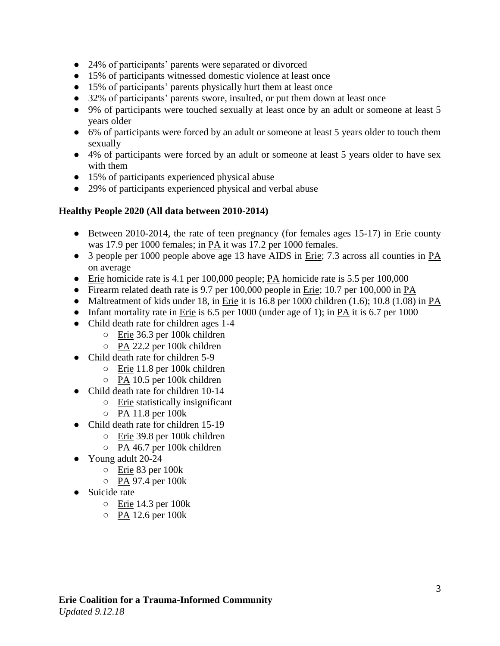- 24% of participants' parents were separated or divorced
- 15% of participants witnessed domestic violence at least once
- 15% of participants' parents physically hurt them at least once
- 32% of participants' parents swore, insulted, or put them down at least once
- 9% of participants were touched sexually at least once by an adult or someone at least 5 years older
- 6% of participants were forced by an adult or someone at least 5 years older to touch them sexually
- 4% of participants were forced by an adult or someone at least 5 years older to have sex with them
- 15% of participants experienced physical abuse
- 29% of participants experienced physical and verbal abuse

## **Healthy People 2020 (All data between 2010-2014)**

- Between 2010-2014, the rate of teen pregnancy (for females ages 15-17) in Erie county was 17.9 per 1000 females; in PA it was 17.2 per 1000 females.
- 3 people per 1000 people above age 13 have AIDS in Erie; 7.3 across all counties in PA on average
- Erie homicide rate is 4.1 per 100,000 people; PA homicide rate is 5.5 per 100,000
- Firearm related death rate is 9.7 per 100,000 people in Erie; 10.7 per 100,000 in PA
- Maltreatment of kids under 18, in Erie it is  $16.8$  per 1000 children  $(1.6)$ ; 10.8  $(1.08)$  in PA
- Infant mortality rate in Erie is 6.5 per 1000 (under age of 1); in PA it is 6.7 per 1000
- Child death rate for children ages 1-4
	- Erie 36.3 per 100k children
	- PA 22.2 per 100k children
- Child death rate for children 5-9
	- Erie 11.8 per 100k children
	- PA 10.5 per 100k children
- Child death rate for children 10-14
	- Erie statistically insignificant
	- PA 11.8 per 100k
- Child death rate for children 15-19
	- Erie 39.8 per 100k children
	- PA 46.7 per 100k children
- Young adult 20-24
	- $\circ$  Erie 83 per 100 $k$
	- PA 97.4 per 100k
- Suicide rate
	- Erie 14.3 per 100k
	- $\circ$  PA 12.6 per 100k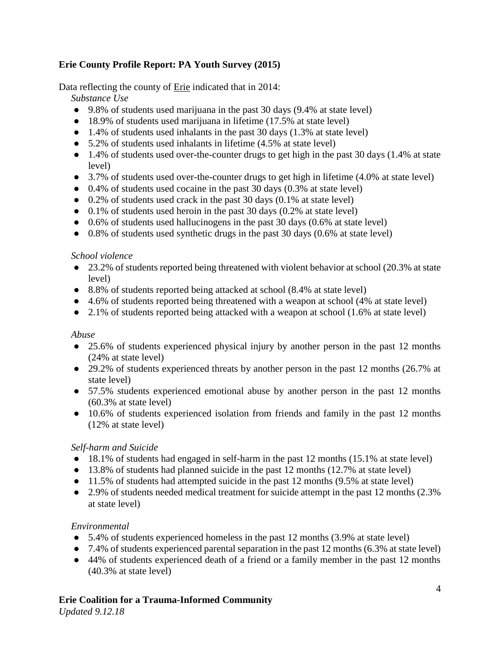# **Erie County Profile Report: PA Youth Survey (2015)**

Data reflecting the county of **Erie** indicated that in 2014:

 *Substance Use*

- 9.8% of students used marijuana in the past 30 days (9.4% at state level)
- 18.9% of students used marijuana in lifetime (17.5% at state level)
- 1.4% of students used inhalants in the past 30 days (1.3% at state level)
- 5.2% of students used inhalants in lifetime (4.5% at state level)
- 1.4% of students used over-the-counter drugs to get high in the past 30 days (1.4% at state level)
- 3.7% of students used over-the-counter drugs to get high in lifetime (4.0% at state level)
- 0.4% of students used cocaine in the past 30 days (0.3% at state level)
- 0.2% of students used crack in the past 30 days (0.1% at state level)
- 0.1% of students used heroin in the past 30 days (0.2% at state level)
- $\bullet$  0.6% of students used hallucinogens in the past 30 days (0.6% at state level)
- 0.8% of students used synthetic drugs in the past 30 days (0.6% at state level)

## *School violence*

- 23.2% of students reported being threatened with violent behavior at school (20.3% at state level)
- 8.8% of students reported being attacked at school (8.4% at state level)
- 4.6% of students reported being threatened with a weapon at school (4% at state level)
- 2.1% of students reported being attacked with a weapon at school (1.6% at state level)

#### *Abuse*

- 25.6% of students experienced physical injury by another person in the past 12 months (24% at state level)
- 29.2% of students experienced threats by another person in the past 12 months (26.7% at state level)
- 57.5% students experienced emotional abuse by another person in the past 12 months (60.3% at state level)
- 10.6% of students experienced isolation from friends and family in the past 12 months (12% at state level)

## *Self-harm and Suicide*

- 18.1% of students had engaged in self-harm in the past 12 months (15.1% at state level)
- 13.8% of students had planned suicide in the past 12 months (12.7% at state level)
- 11.5% of students had attempted suicide in the past 12 months (9.5% at state level)
- 2.9% of students needed medical treatment for suicide attempt in the past 12 months (2.3% at state level)

## *Environmental*

- 5.4% of students experienced homeless in the past 12 months (3.9% at state level)
- 7.4% of students experienced parental separation in the past 12 months (6.3% at state level)
- 44% of students experienced death of a friend or a family member in the past 12 months (40.3% at state level)

## **Erie Coalition for a Trauma-Informed Community**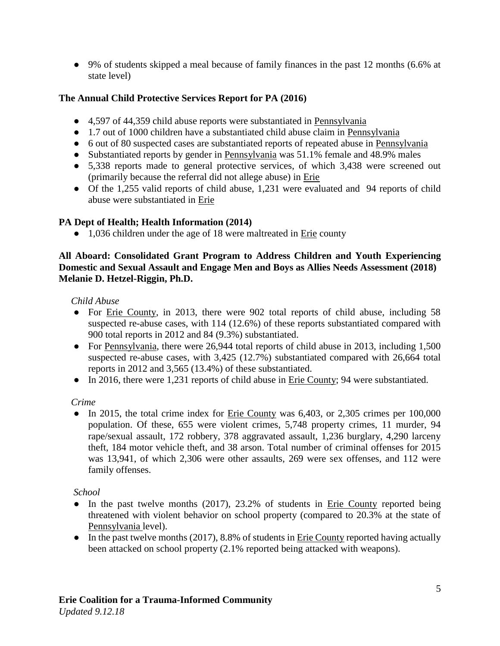● 9% of students skipped a meal because of family finances in the past 12 months (6.6% at state level)

## **The Annual Child Protective Services Report for PA (2016)**

- 4,597 of 44,359 child abuse reports were substantiated in Pennsylvania
- 1.7 out of 1000 children have a substantiated child abuse claim in Pennsylvania
- 6 out of 80 suspected cases are substantiated reports of repeated abuse in Pennsylvania
- Substantiated reports by gender in Pennsylvania was 51.1% female and 48.9% males
- 5,338 reports made to general protective services, of which 3,438 were screened out (primarily because the referral did not allege abuse) in Erie
- Of the 1,255 valid reports of child abuse, 1,231 were evaluated and 94 reports of child abuse were substantiated in Erie

## **PA Dept of Health; Health Information (2014)**

• 1,036 children under the age of 18 were maltreated in Erie county

### **All Aboard: Consolidated Grant Program to Address Children and Youth Experiencing Domestic and Sexual Assault and Engage Men and Boys as Allies Needs Assessment (2018) Melanie D. Hetzel-Riggin, Ph.D.**

### *Child Abuse*

- For Erie County, in 2013, there were 902 total reports of child abuse, including 58 suspected re-abuse cases, with 114 (12.6%) of these reports substantiated compared with 900 total reports in 2012 and 84 (9.3%) substantiated.
- For Pennsylvania, there were 26,944 total reports of child abuse in 2013, including 1,500 suspected re-abuse cases, with 3,425 (12.7%) substantiated compared with 26,664 total reports in 2012 and 3,565 (13.4%) of these substantiated.
- In 2016, there were 1,231 reports of child abuse in Erie County; 94 were substantiated.

#### *Crime*

• In 2015, the total crime index for <u>Erie County</u> was 6,403, or 2,305 crimes per 100,000 population. Of these, 655 were violent crimes, 5,748 property crimes, 11 murder, 94 rape/sexual assault, 172 robbery, 378 aggravated assault, 1,236 burglary, 4,290 larceny theft, 184 motor vehicle theft, and 38 arson. Total number of criminal offenses for 2015 was 13,941, of which 2,306 were other assaults, 269 were sex offenses, and 112 were family offenses.

#### *School*

- In the past twelve months (2017), 23.2% of students in Erie County reported being threatened with violent behavior on school property (compared to 20.3% at the state of Pennsylvania level).
- In the past twelve months (2017), 8.8% of students in Erie County reported having actually been attacked on school property (2.1% reported being attacked with weapons).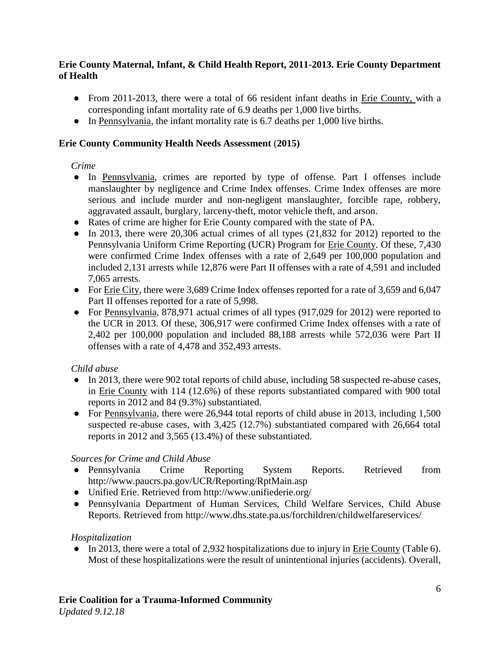## **Erie County Maternal, Infant, & Child Health Report, 2011-2013. Erie County Department of Health**

- From 2011-2013, there were a total of 66 resident infant deaths in Erie County, with a corresponding infant mortality rate of 6.9 deaths per 1,000 live births.
- In Pennsylvania, the infant mortality rate is 6.7 deaths per 1,000 live births.

## **Erie County Community Health Needs Assessment** (**2015)**

## *Crime*

- In Pennsylvania, crimes are reported by type of offense. Part I offenses include manslaughter by negligence and Crime Index offenses. Crime Index offenses are more serious and include murder and non-negligent manslaughter, forcible rape, robbery, aggravated assault, burglary, larceny-theft, motor vehicle theft, and arson.
- Rates of crime are higher for Erie County compared with the state of PA.
- $\bullet$  In 2013, there were 20,306 actual crimes of all types (21,832 for 2012) reported to the Pennsylvania Uniform Crime Reporting (UCR) Program for Erie County. Of these, 7,430 were confirmed Crime Index offenses with a rate of 2,649 per 100,000 population and included 2,131 arrests while 12,876 were Part II offenses with a rate of 4,591 and included 7,065 arrests.
- For Erie City, there were 3,689 Crime Index offenses reported for a rate of 3,659 and 6,047 Part II offenses reported for a rate of 5,998.
- For Pennsylvania, 878,971 actual crimes of all types (917,029 for 2012) were reported to the UCR in 2013. Of these, 306,917 were confirmed Crime Index offenses with a rate of 2,402 per 100,000 population and included 88,188 arrests while 572,036 were Part II offenses with a rate of 4,478 and 352,493 arrests.

# *Child abuse*

- In 2013, there were 902 total reports of child abuse, including 58 suspected re-abuse cases, in Erie County with 114 (12.6%) of these reports substantiated compared with 900 total reports in 2012 and 84 (9.3%) substantiated.
- For Pennsylvania, there were 26,944 total reports of child abuse in 2013, including 1,500 suspected re-abuse cases, with 3,425 (12.7%) substantiated compared with 26,664 total reports in 2012 and 3,565 (13.4%) of these substantiated.

# *Sources for Crime and Child Abuse*

- Pennsylvania Crime Reporting System Reports. Retrieved from http://www.paucrs.pa.gov/UCR/Reporting/RptMain.asp
- Unified Erie. Retrieved from http://www.unifiederie.org/
- Pennsylvania Department of Human Services, Child Welfare Services, Child Abuse Reports. Retrieved from <http://www.dhs.state.pa.us/forchildren/childwelfareservices/>

## *Hospitalization*

• In 2013, there were a total of 2,932 hospitalizations due to injury in Erie County (Table 6). Most of these hospitalizations were the result of unintentional injuries (accidents). Overall,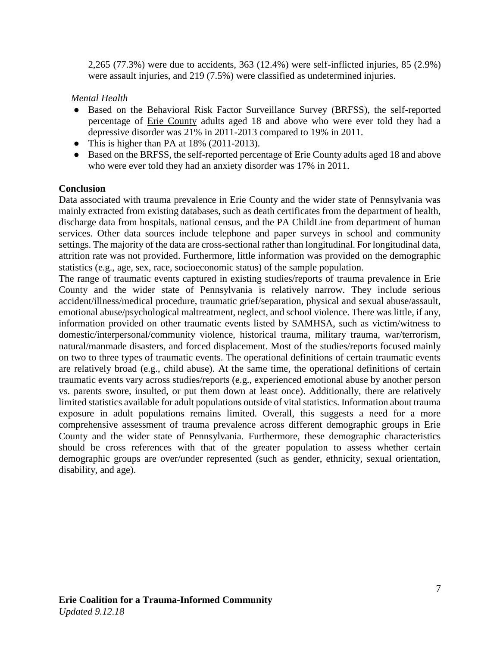2,265 (77.3%) were due to accidents, 363 (12.4%) were self-inflicted injuries, 85 (2.9%) were assault injuries, and 219 (7.5%) were classified as undetermined injuries.

### *Mental Health*

- Based on the Behavioral Risk Factor Surveillance Survey (BRFSS), the self-reported percentage of Erie County adults aged 18 and above who were ever told they had a depressive disorder was 21% in 2011-2013 compared to 19% in 2011.
- This is higher than  $PA$  at 18% (2011-2013).
- Based on the BRFSS, the self-reported percentage of Erie County adults aged 18 and above who were ever told they had an anxiety disorder was 17% in 2011.

### **Conclusion**

Data associated with trauma prevalence in Erie County and the wider state of Pennsylvania was mainly extracted from existing databases, such as death certificates from the department of health, discharge data from hospitals, national census, and the PA ChildLine from department of human services. Other data sources include telephone and paper surveys in school and community settings. The majority of the data are cross-sectional rather than longitudinal. For longitudinal data, attrition rate was not provided. Furthermore, little information was provided on the demographic statistics (e.g., age, sex, race, socioeconomic status) of the sample population.

The range of traumatic events captured in existing studies/reports of trauma prevalence in Erie County and the wider state of Pennsylvania is relatively narrow. They include serious accident/illness/medical procedure, traumatic grief/separation, physical and sexual abuse/assault, emotional abuse/psychological maltreatment, neglect, and school violence. There was little, if any, information provided on other traumatic events listed by SAMHSA, such as victim/witness to domestic/interpersonal/community violence, historical trauma, military trauma, war/terrorism, natural/manmade disasters, and forced displacement. Most of the studies/reports focused mainly on two to three types of traumatic events. The operational definitions of certain traumatic events are relatively broad (e.g., child abuse). At the same time, the operational definitions of certain traumatic events vary across studies/reports (e.g., experienced emotional abuse by another person vs. parents swore, insulted, or put them down at least once). Additionally, there are relatively limited statistics available for adult populations outside of vital statistics. Information about trauma exposure in adult populations remains limited. Overall, this suggests a need for a more comprehensive assessment of trauma prevalence across different demographic groups in Erie County and the wider state of Pennsylvania. Furthermore, these demographic characteristics should be cross references with that of the greater population to assess whether certain demographic groups are over/under represented (such as gender, ethnicity, sexual orientation, disability, and age).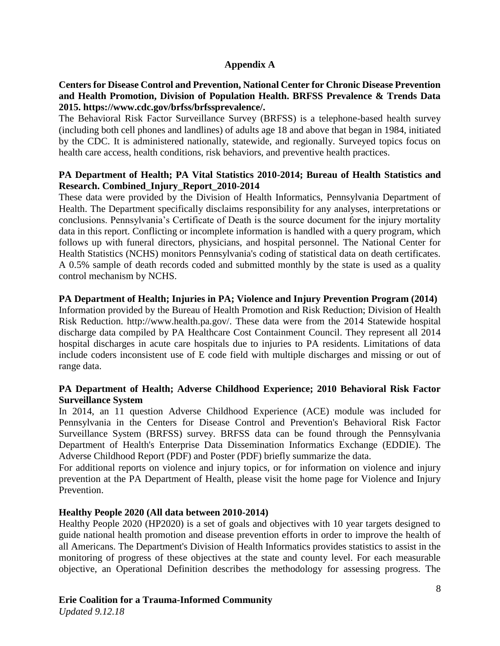#### **Appendix A**

## **Centers for Disease Control and Prevention, National Center for Chronic Disease Prevention and Health Promotion, Division of Population Health. BRFSS Prevalence & Trends Data 2015. [https://www.cdc.gov/brfss/brfssprevalence/.](https://www.cdc.gov/brfss/brfssprevalence/)**

The Behavioral Risk Factor Surveillance Survey (BRFSS) is a telephone-based health survey (including both cell phones and landlines) of adults age 18 and above that began in 1984, initiated by the CDC. It is administered nationally, statewide, and regionally. Surveyed topics focus on health care access, health conditions, risk behaviors, and preventive health practices.

### **PA Department of Health; PA Vital Statistics 2010-2014; Bureau of Health Statistics and Research. Combined\_Injury\_Report\_2010-2014**

These data were provided by the Division of Health Informatics, Pennsylvania Department of Health. The Department specifically disclaims responsibility for any analyses, interpretations or conclusions. Pennsylvania's Certificate of Death is the source document for the injury mortality data in this report. Conflicting or incomplete information is handled with a query program, which follows up with funeral directors, physicians, and hospital personnel. The National Center for Health Statistics (NCHS) monitors Pennsylvania's coding of statistical data on death certificates. A 0.5% sample of death records coded and submitted monthly by the state is used as a quality control mechanism by NCHS.

#### **PA Department of Health; Injuries in PA; Violence and Injury Prevention Program (2014)**

Information provided by the Bureau of Health Promotion and Risk Reduction; Division of Health Risk Reduction. [http://www.health.pa.gov/.](http://www.health.pa.gov/) These data were from the 2014 Statewide hospital discharge data compiled by PA Healthcare Cost Containment Council. They represent all 2014 hospital discharges in acute care hospitals due to injuries to PA residents. Limitations of data include coders inconsistent use of E code field with multiple discharges and missing or out of range data.

### **PA Department of Health; Adverse Childhood Experience; 2010 Behavioral Risk Factor Surveillance System**

In 2014, an 11 question Adverse Childhood Experience (ACE) module was included for Pennsylvania in the Centers for Disease Control and Prevention's Behavioral Risk Factor Surveillance System (BRFSS) survey. BRFSS data can be found through the Pennsylvania Department of Health's Enterprise Data Dissemination Informatics Exchange (EDDIE). The Adverse Childhood Report (PDF) and Poster (PDF) briefly summarize the data.

For additional reports on violence and injury topics, or for information on violence and injury prevention at the PA Department of Health, please visit the home page for Violence and Injury Prevention.

#### **Healthy People 2020 (All data between 2010-2014)**

Healthy People 2020 (HP2020) is a set of goals and objectives with 10 year targets designed to guide national health promotion and disease prevention efforts in order to improve the health of all Americans. The Department's Division of Health Informatics provides statistics to assist in the monitoring of progress of these objectives at the state and county level. For each measurable objective, an Operational Definition describes the methodology for assessing progress. The

### **Erie Coalition for a Trauma-Informed Community**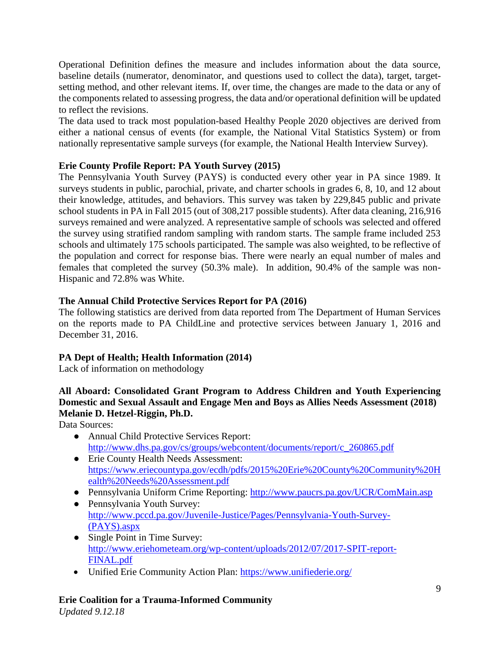Operational Definition defines the measure and includes information about the data source, baseline details (numerator, denominator, and questions used to collect the data), target, targetsetting method, and other relevant items. If, over time, the changes are made to the data or any of the components related to assessing progress, the data and/or operational definition will be updated to reflect the revisions.

The data used to track most population-based Healthy People 2020 objectives are derived from either a national census of events (for example, the National Vital Statistics System) or from nationally representative sample surveys (for example, the National Health Interview Survey).

# **Erie County Profile Report: PA Youth Survey (2015)**

The Pennsylvania Youth Survey (PAYS) is conducted every other year in PA since 1989. It surveys students in public, parochial, private, and charter schools in grades 6, 8, 10, and 12 about their knowledge, attitudes, and behaviors. This survey was taken by 229,845 public and private school students in PA in Fall 2015 (out of 308,217 possible students). After data cleaning, 216,916 surveys remained and were analyzed. A representative sample of schools was selected and offered the survey using stratified random sampling with random starts. The sample frame included 253 schools and ultimately 175 schools participated. The sample was also weighted, to be reflective of the population and correct for response bias. There were nearly an equal number of males and females that completed the survey (50.3% male). In addition, 90.4% of the sample was non-Hispanic and 72.8% was White.

## **The Annual Child Protective Services Report for PA (2016)**

The following statistics are derived from data reported from The Department of Human Services on the reports made to PA ChildLine and protective services between January 1, 2016 and December 31, 2016.

## **PA Dept of Health; Health Information (2014)**

Lack of information on methodology

## **All Aboard: Consolidated Grant Program to Address Children and Youth Experiencing Domestic and Sexual Assault and Engage Men and Boys as Allies Needs Assessment (2018) Melanie D. Hetzel-Riggin, Ph.D.**

Data Sources:

- Annual Child Protective Services Report: [http://www.dhs.pa.gov/cs/groups/webcontent/documents/report/c\\_260865.pdf](http://www.dhs.pa.gov/cs/groups/webcontent/documents/report/c_260865.pdf)
- Erie County Health Needs Assessment: [https://www.eriecountypa.gov/ecdh/pdfs/2015%20Erie%20County%20Community%20H](https://www.eriecountypa.gov/ecdh/pdfs/2015%20Erie%20County%20Community%20Health%20Needs%20Assessment.pdf) [ealth%20Needs%20Assessment.pdf](https://www.eriecountypa.gov/ecdh/pdfs/2015%20Erie%20County%20Community%20Health%20Needs%20Assessment.pdf)
- Pennsylvania Uniform Crime Reporting:<http://www.paucrs.pa.gov/UCR/ComMain.asp>
- Pennsylvania Youth Survey: [http://www.pccd.pa.gov/Juvenile-Justice/Pages/Pennsylvania-Youth-Survey-](http://www.pccd.pa.gov/Juvenile-Justice/Pages/Pennsylvania-Youth-Survey-(PAYS).aspx) [\(PAYS\).aspx](http://www.pccd.pa.gov/Juvenile-Justice/Pages/Pennsylvania-Youth-Survey-(PAYS).aspx)
- Single Point in Time Survey: [http://www.eriehometeam.org/wp-content/uploads/2012/07/2017-SPIT-report-](http://www.eriehometeam.org/wp-content/uploads/2012/07/2017-SPIT-report-FINAL.pdf)[FINAL.pdf](http://www.eriehometeam.org/wp-content/uploads/2012/07/2017-SPIT-report-FINAL.pdf)
- Unified Erie Community Action Plan:<https://www.unifiederie.org/>

## **Erie Coalition for a Trauma-Informed Community**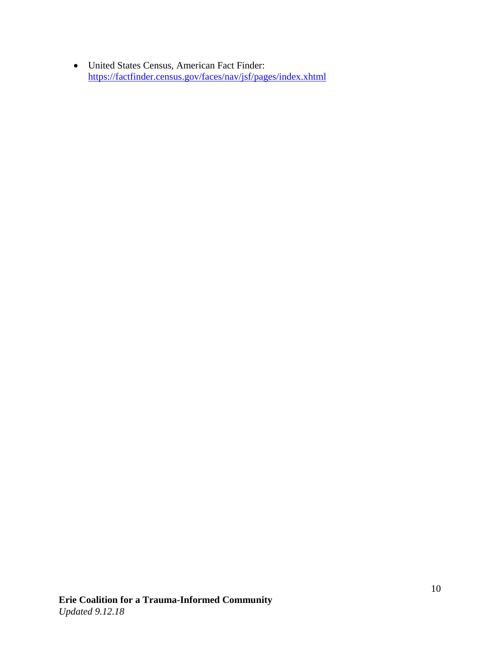• United States Census, American Fact Finder: <https://factfinder.census.gov/faces/nav/jsf/pages/index.xhtml>